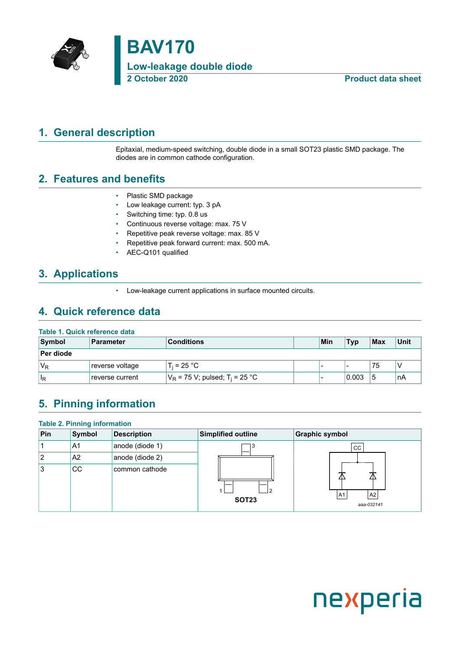

**BAV170 Low-leakage double diode 2 October 2020 Product data sheet**

### <span id="page-0-0"></span>**1. General description**

Epitaxial, medium-speed switching, double diode in a small SOT23 plastic SMD package. The diodes are in common cathode configuration.

#### <span id="page-0-1"></span>**2. Features and benefits**

- Plastic SMD package
- Low leakage current: typ. 3 pA
- Switching time: typ. 0.8 us
- Continuous reverse voltage: max. 75 V
- Repetitive peak reverse voltage: max. 85 V
- Repetitive peak forward current: max. 500 mA.
- AEC-Q101 qualified

### <span id="page-0-2"></span>**3. Applications**

• Low-leakage current applications in surface mounted circuits.

### <span id="page-0-3"></span>**4. Quick reference data**

| Table 1. Quick reference data     |                 |                                              |  |     |            |         |      |
|-----------------------------------|-----------------|----------------------------------------------|--|-----|------------|---------|------|
| Symbol                            | Parameter       | <b>Conditions</b>                            |  | Min | <b>Typ</b> | $ $ Max | Unit |
| Per diode                         |                 |                                              |  |     |            |         |      |
| $V_R$                             | reverse voltage | $T_i = 25 °C$                                |  | -   |            | 75      |      |
| $\mathsf{\parallel l}_\mathsf{R}$ | reverse current | $V_R$ = 75 V; pulsed; T <sub>i</sub> = 25 °C |  | -   | 0.003      | 5       | !nA  |

### <span id="page-0-4"></span>**5. Pinning information**

| <b>Table 2. Pinning information</b> |                |                    |                        |                          |  |  |  |
|-------------------------------------|----------------|--------------------|------------------------|--------------------------|--|--|--|
| Pin                                 | <b>Symbol</b>  | <b>Description</b> | Simplified outline     | <b>Graphic symbol</b>    |  |  |  |
|                                     | A <sub>1</sub> | anode (diode 1)    |                        | CC                       |  |  |  |
| 2                                   | A <sub>2</sub> | anode (diode 2)    |                        |                          |  |  |  |
| Ι3                                  | CC             | common cathode     | ≘<br>SOT <sub>23</sub> | A2 <br>İA1<br>aaa-032141 |  |  |  |

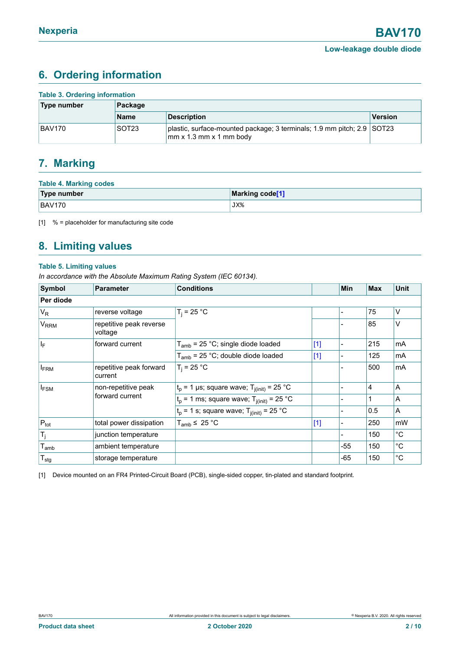## <span id="page-1-1"></span><span id="page-1-0"></span>**6. Ordering information**

| <b>Table 3. Ordering information</b> |             |                                                                                                                                                |         |  |  |  |
|--------------------------------------|-------------|------------------------------------------------------------------------------------------------------------------------------------------------|---------|--|--|--|
| Type number                          | Package     |                                                                                                                                                |         |  |  |  |
|                                      | <b>Name</b> | Description                                                                                                                                    | Version |  |  |  |
| <b>BAV170</b>                        | SOT23       | plastic, surface-mounted package; 3 terminals; 1.9 mm pitch; 2.9  SOT23<br>$\mathsf{m}\times 1.3 \mathsf{m}\times 1 \mathsf{m}\mathsf{m}$ body |         |  |  |  |

#### <span id="page-1-2"></span>**7. Marking**

| <b>Table 4. Marking codes</b> |                             |  |  |  |  |
|-------------------------------|-----------------------------|--|--|--|--|
| Type number                   | Marking code <sup>[1]</sup> |  |  |  |  |
| <b>BAV170</b>                 | JX%                         |  |  |  |  |

[1] % = placeholder for manufacturing site code

### <span id="page-1-3"></span>**8. Limiting values**

#### **Table 5. Limiting values**

*In accordance with the Absolute Maximum Rating System (IEC 60134).*

| Symbol                      | <b>Parameter</b>                       | <b>Conditions</b>                                         |       | <b>Min</b> | <b>Max</b> | <b>Unit</b> |
|-----------------------------|----------------------------------------|-----------------------------------------------------------|-------|------------|------------|-------------|
| Per diode                   |                                        |                                                           |       |            |            |             |
| $V_R$                       | reverse voltage                        | $T_i = 25 °C$                                             |       |            | 75         | V           |
| <b>V<sub>RRM</sub></b>      | repetitive peak reverse<br>voltage     |                                                           |       |            | 85         | V           |
| $\vert \vert_{\mathsf{F}}$  | forward current                        | $T_{amb}$ = 25 °C; single diode loaded                    | $[1]$ |            | 215        | mA          |
|                             |                                        | $T_{amb}$ = 25 °C; double diode loaded                    | $[1]$ |            | 125        | mA          |
| <b>FRM</b>                  | repetitive peak forward<br>current     | $T_i = 25 °C$                                             |       |            | 500        | mA          |
| $I_{FSM}$                   | non-repetitive peak<br>forward current | $t_{p}$ = 1 µs; square wave; T <sub>j(init)</sub> = 25 °C |       |            | $\vert$    | A           |
|                             |                                        | $t_p$ = 1 ms; square wave; $T_{i(init)}$ = 25 °C          |       |            |            | A           |
|                             |                                        | $t_p$ = 1 s; square wave; $T_{j (init)}$ = 25 °C          |       |            | 0.5        | A           |
| $P_{\text{tot}}$            | total power dissipation                | $T_{amb}$ $\leq$ 25 °C                                    | $[1]$ |            | 250        | mW          |
| $T_j$                       | junction temperature                   |                                                           |       |            | 150        | $^{\circ}C$ |
| $\mathsf{T}_{\mathsf{amb}}$ | ambient temperature                    |                                                           |       | -55        | 150        | $^{\circ}C$ |
| $\mathsf{T}_{\textsf{stg}}$ | storage temperature                    |                                                           |       | -65        | 150        | $^{\circ}C$ |

[1] Device mounted on an FR4 Printed-Circuit Board (PCB), single-sided copper, tin-plated and standard footprint.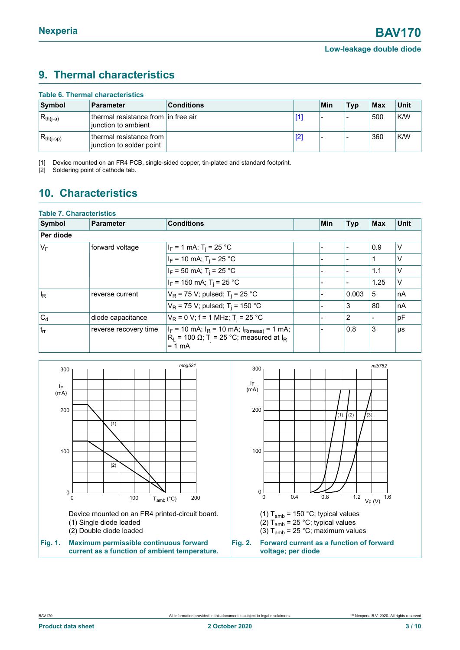# <span id="page-2-1"></span><span id="page-2-0"></span>**9. Thermal characteristics**

| <b>Table 6. Thermal characteristics</b> |                                                            |                   |  |     |            |         |             |
|-----------------------------------------|------------------------------------------------------------|-------------------|--|-----|------------|---------|-------------|
| Symbol                                  | <b>Parameter</b>                                           | <b>Conditions</b> |  | Min | <b>Typ</b> | $ $ Max | <b>Unit</b> |
| $R_{th(i-a)}$                           | thermal resistance from in free air<br>junction to ambient |                   |  |     |            | 500     | K/W         |
| $ R_{th(j-sp)}$                         | thermal resistance from  <br>junction to solder point      |                   |  |     |            | 360     | K/W         |

[1] Device mounted on an FR4 PCB, single-sided copper, tin-plated and standard footprint.

[2] Soldering point of cathode tab.

# <span id="page-2-2"></span>**10. Characteristics**

#### **Table 7. Characteristics**

| Symbol     | <b>Parameter</b>      | <b>Conditions</b>                                                                                                                             | Min | <b>Typ</b> | Max  | <b>Unit</b> |
|------------|-----------------------|-----------------------------------------------------------------------------------------------------------------------------------------------|-----|------------|------|-------------|
| Per diode  |                       |                                                                                                                                               |     |            |      |             |
| $V_F$      | forward voltage       | $I_F = 1$ mA; T <sub>i</sub> = 25 °C                                                                                                          |     |            | 0.9  | $\vee$      |
|            |                       | $I_F$ = 10 mA; T <sub>i</sub> = 25 °C                                                                                                         |     |            |      | $\vee$      |
|            |                       | $I_F$ = 50 mA; T <sub>i</sub> = 25 °C                                                                                                         |     |            | 1.1  | V           |
|            |                       | $I_F$ = 150 mA; T <sub>i</sub> = 25 °C                                                                                                        |     |            | 1.25 | $\vee$      |
| $I_R$      | reverse current       | $V_R$ = 75 V; pulsed; T <sub>i</sub> = 25 °C                                                                                                  |     | 0.003      | 15   | ∣nA         |
|            |                       | $V_R$ = 75 V; pulsed; T <sub>i</sub> = 150 °C                                                                                                 |     | Ι3         | 80   | l nA        |
| $ C_d $    | diode capacitance     | $V_R$ = 0 V; f = 1 MHz; T <sub>i</sub> = 25 °C                                                                                                |     | 2          |      | pF          |
| $ t_{rr} $ | reverse recovery time | $I_F$ = 10 mA; $I_R$ = 10 mA; $I_{R(meas)}$ = 1 mA;<br>$ R_L$ = 100 $\Omega$ ; T <sub>i</sub> = 25 °C; measured at I <sub>R</sub><br>$= 1$ mA |     | 0.8        | 3    | μs          |

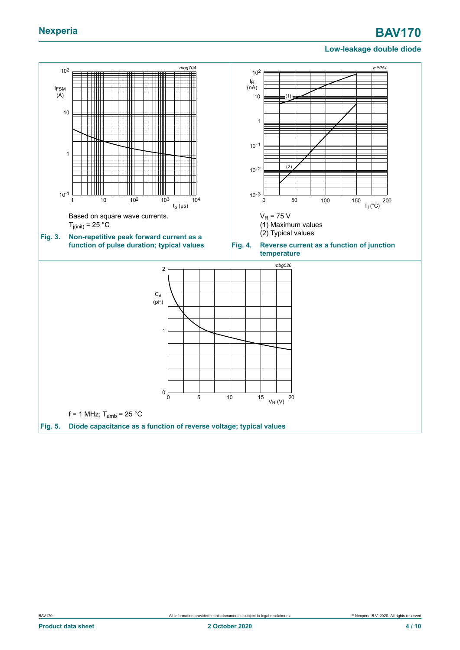# **Nexperia BAV170**

#### **Low-leakage double diode**

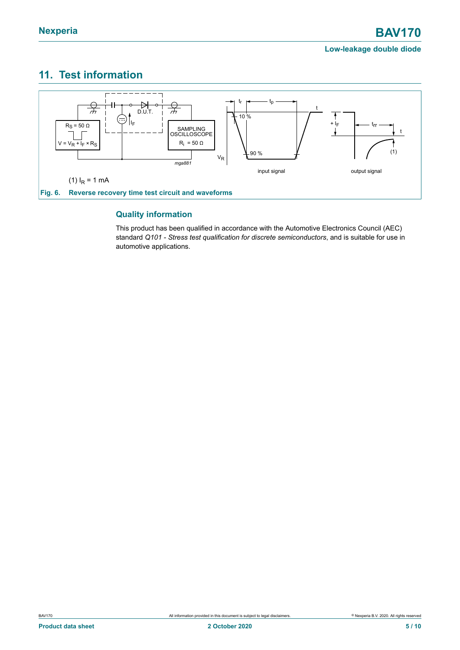### <span id="page-4-0"></span>**11. Test information**



#### **Quality information**

This product has been qualified in accordance with the Automotive Electronics Council (AEC) standard *Q101 - Stress test qualification for discrete semiconductors*, and is suitable for use in automotive applications.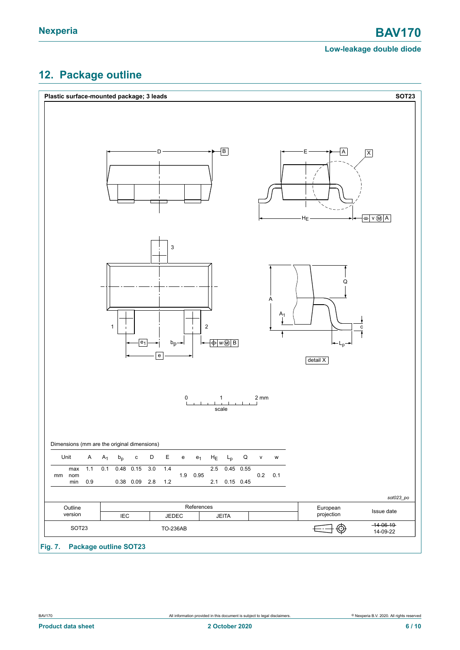## <span id="page-5-0"></span>**12. Package outline**

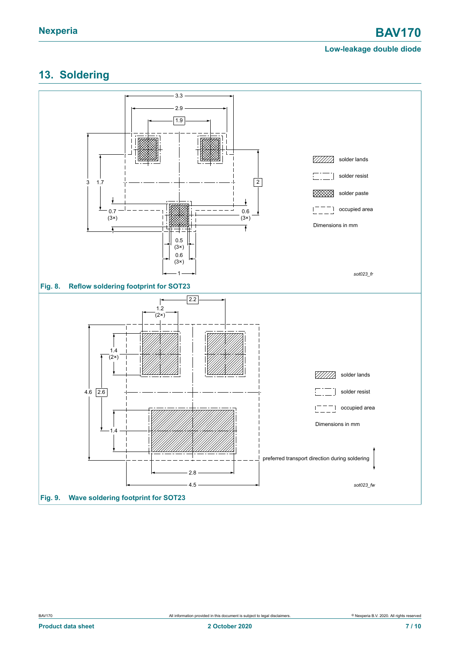# <span id="page-6-0"></span>**13. Soldering**

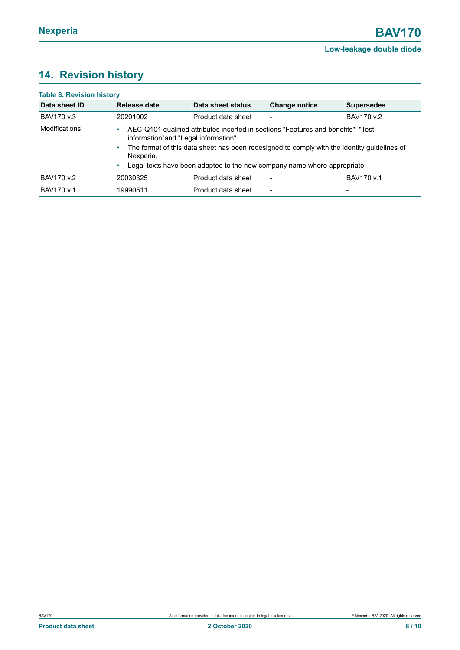# <span id="page-7-0"></span>**14. Revision history**

| <b>Table 8. Revision history</b> |                                                                                                                                                                                                                                                                                                                   |                    |                          |                   |  |
|----------------------------------|-------------------------------------------------------------------------------------------------------------------------------------------------------------------------------------------------------------------------------------------------------------------------------------------------------------------|--------------------|--------------------------|-------------------|--|
| Data sheet ID                    | <b>Release date</b>                                                                                                                                                                                                                                                                                               | Data sheet status  | <b>Change notice</b>     | <b>Supersedes</b> |  |
| BAV170 v.3                       | 20201002                                                                                                                                                                                                                                                                                                          | Product data sheet |                          | BAV170 v.2        |  |
| Modifications:                   | AEC-Q101 qualified attributes inserted in sections "Features and benefits", "Test<br>information"and "Legal information".<br>The format of this data sheet has been redesigned to comply with the identity guidelines of<br>Nexperia.<br>Legal texts have been adapted to the new company name where appropriate. |                    |                          |                   |  |
| BAV170 v.2                       | 20030325                                                                                                                                                                                                                                                                                                          | Product data sheet | $\overline{\phantom{a}}$ | BAV170 v.1        |  |
| <b>BAV170 v.1</b>                | 19990511                                                                                                                                                                                                                                                                                                          | Product data sheet | $\overline{\phantom{a}}$ |                   |  |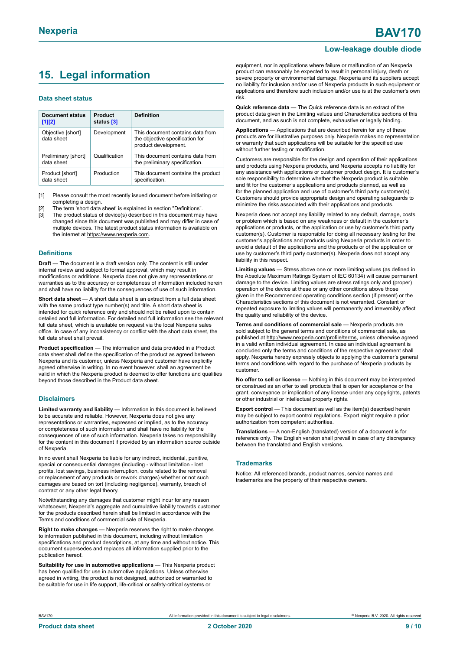**Low-leakage double diode**

### <span id="page-8-0"></span>**15. Legal information**

#### **Data sheet status**

| <b>Document status</b><br>$[1]$ [2] | Product<br>status [3] | <b>Definition</b>                                                                           |
|-------------------------------------|-----------------------|---------------------------------------------------------------------------------------------|
| Objective [short]<br>data sheet     | Development           | This document contains data from<br>the objective specification for<br>product development. |
| Preliminary [short]<br>data sheet   | Qualification         | This document contains data from<br>the preliminary specification.                          |
| Product [short]<br>data sheet       | Production            | This document contains the product<br>specification.                                        |

[1] Please consult the most recently issued document before initiating or completing a design.

The term 'short data sheet' is explained in section "Definitions".

[3] The product status of device(s) described in this document may have changed since this document was published and may differ in case of multiple devices. The latest product status information is available on the internet at [https://www.nexperia.com.](https://www.nexperia.com)

#### **Definitions**

**Draft** — The document is a draft version only. The content is still under internal review and subject to formal approval, which may result in modifications or additions. Nexperia does not give any representations or warranties as to the accuracy or completeness of information included herein and shall have no liability for the consequences of use of such information.

**Short data sheet** — A short data sheet is an extract from a full data sheet with the same product type number(s) and title. A short data sheet is intended for quick reference only and should not be relied upon to contain detailed and full information. For detailed and full information see the relevant full data sheet, which is available on request via the local Nexperia sales office. In case of any inconsistency or conflict with the short data sheet, the full data sheet shall prevail.

**Product specification** — The information and data provided in a Product data sheet shall define the specification of the product as agreed between Nexperia and its customer, unless Nexperia and customer have explicitly agreed otherwise in writing. In no event however, shall an agreement be valid in which the Nexperia product is deemed to offer functions and qualities beyond those described in the Product data sheet.

#### **Disclaimers**

**Limited warranty and liability** — Information in this document is believed to be accurate and reliable. However, Nexperia does not give any representations or warranties, expressed or implied, as to the accuracy or completeness of such information and shall have no liability for the consequences of use of such information. Nexperia takes no responsibility for the content in this document if provided by an information source outside of Nexperia.

In no event shall Nexperia be liable for any indirect, incidental, punitive, special or consequential damages (including - without limitation - lost profits, lost savings, business interruption, costs related to the removal or replacement of any products or rework charges) whether or not such damages are based on tort (including negligence), warranty, breach of contract or any other legal theory.

Notwithstanding any damages that customer might incur for any reason whatsoever, Nexperia's aggregate and cumulative liability towards customer for the products described herein shall be limited in accordance with the Terms and conditions of commercial sale of Nexperia.

**Right to make changes** — Nexperia reserves the right to make changes to information published in this document, including without limitation specifications and product descriptions, at any time and without notice. This document supersedes and replaces all information supplied prior to the publication hereof.

**Suitability for use in automotive applications** — This Nexperia product has been qualified for use in automotive applications. Unless otherwise agreed in writing, the product is not designed, authorized or warranted to be suitable for use in life support, life-critical or safety-critical systems or

equipment, nor in applications where failure or malfunction of an Nexperia product can reasonably be expected to result in personal injury, death or severe property or environmental damage. Nexperia and its suppliers accept no liability for inclusion and/or use of Nexperia products in such equipment or applications and therefore such inclusion and/or use is at the customer's own risk.

**Quick reference data** — The Quick reference data is an extract of the product data given in the Limiting values and Characteristics sections of this document, and as such is not complete, exhaustive or legally binding.

**Applications** — Applications that are described herein for any of these products are for illustrative purposes only. Nexperia makes no representation or warranty that such applications will be suitable for the specified use without further testing or modification.

Customers are responsible for the design and operation of their applications and products using Nexperia products, and Nexperia accepts no liability for any assistance with applications or customer product design. It is customer's sole responsibility to determine whether the Nexperia product is suitable and fit for the customer's applications and products planned, as well as for the planned application and use of customer's third party customer(s). Customers should provide appropriate design and operating safeguards to minimize the risks associated with their applications and products.

Nexperia does not accept any liability related to any default, damage, costs or problem which is based on any weakness or default in the customer's applications or products, or the application or use by customer's third party customer(s). Customer is responsible for doing all necessary testing for the customer's applications and products using Nexperia products in order to avoid a default of the applications and the products or of the application or use by customer's third party customer(s). Nexperia does not accept any liability in this respect.

**Limiting values** — Stress above one or more limiting values (as defined in the Absolute Maximum Ratings System of IEC 60134) will cause permanent damage to the device. Limiting values are stress ratings only and (proper) operation of the device at these or any other conditions above those given in the Recommended operating conditions section (if present) or the Characteristics sections of this document is not warranted. Constant or repeated exposure to limiting values will permanently and irreversibly affect the quality and reliability of the device.

**Terms and conditions of commercial sale** — Nexperia products are sold subject to the general terms and conditions of commercial sale, as published at [http://www.nexperia.com/profile/terms,](http://www.nexperia.com/profile/terms) unless otherwise agreed in a valid written individual agreement. In case an individual agreement is concluded only the terms and conditions of the respective agreement shall apply. Nexperia hereby expressly objects to applying the customer's general terms and conditions with regard to the purchase of Nexperia products by customer.

**No offer to sell or license** — Nothing in this document may be interpreted or construed as an offer to sell products that is open for acceptance or the grant, conveyance or implication of any license under any copyrights, patents or other industrial or intellectual property rights.

**Export control** — This document as well as the item(s) described herein may be subject to export control regulations. Export might require a prior authorization from competent authorities.

**Translations** — A non-English (translated) version of a document is for reference only. The English version shall prevail in case of any discrepancy between the translated and English versions.

#### **Trademarks**

Notice: All referenced brands, product names, service names and trademarks are the property of their respective owners.